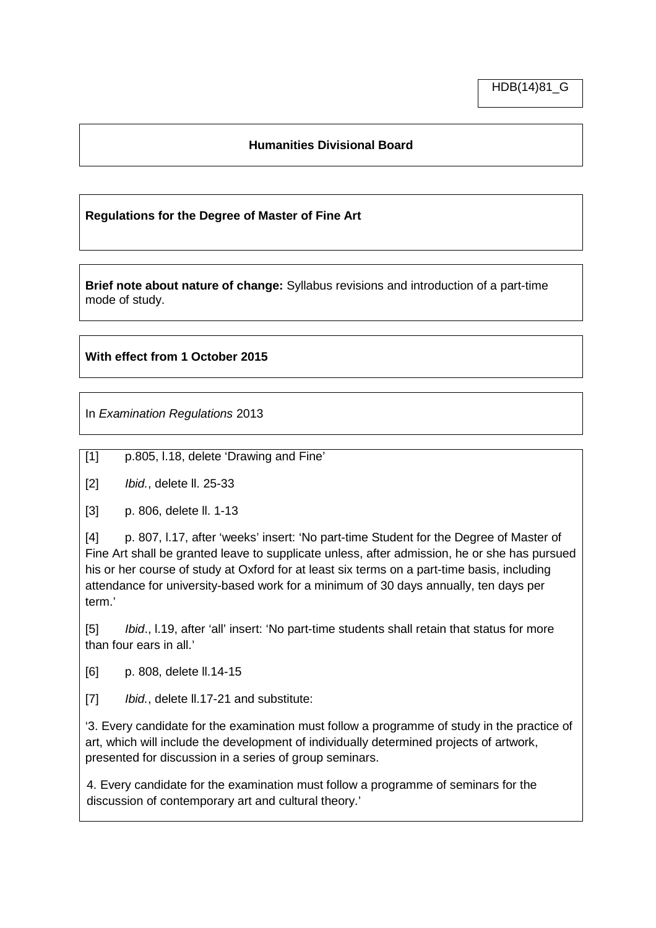## **Humanities Divisional Board**

## **Regulations for the Degree of Master of Fine Art**

**Brief note about nature of change:** Syllabus revisions and introduction of a part-time mode of study.

## **With effect from 1 October 2015**

In *Examination Regulations* 2013

[1] p.805, l.18, delete 'Drawing and Fine'

[2] *Ibid.*, delete ll. 25-33

[3] p. 806, delete ll. 1-13

[4] p. 807, l.17, after 'weeks' insert: 'No part-time Student for the Degree of Master of Fine Art shall be granted leave to supplicate unless, after admission, he or she has pursued his or her course of study at Oxford for at least six terms on a part-time basis, including attendance for university-based work for a minimum of 30 days annually, ten days per term.'

[5] *Ibid*., l.19, after 'all' insert: 'No part-time students shall retain that status for more than four ears in all.'

[6] p. 808, delete ll.14-15

[7] *Ibid.*, delete ll.17-21 and substitute:

'3. Every candidate for the examination must follow a programme of study in the practice of art, which will include the development of individually determined projects of artwork, presented for discussion in a series of group seminars.

4. Every candidate for the examination must follow a programme of seminars for the discussion of contemporary art and cultural theory.'